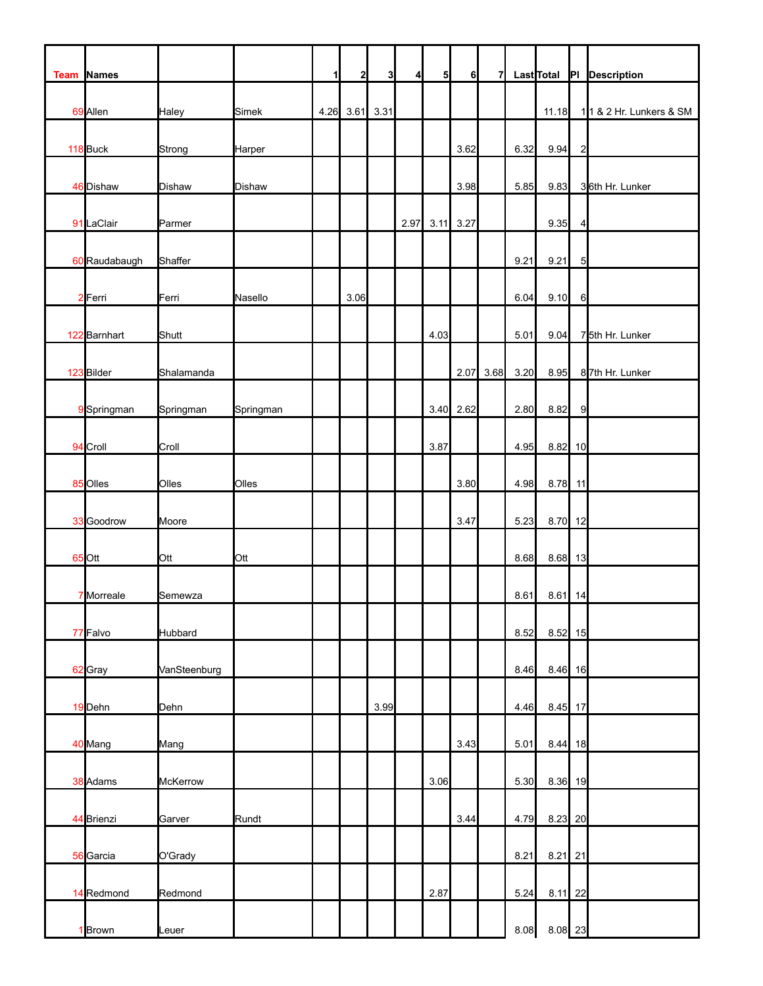| Team | <b>Names</b>  |               |               | $\mathbf{1}$ | 2    | 3    | $\overline{4}$ | 5 <sub>l</sub> | 6         | 7    |      | <b>Last</b> Total |                | PI Description          |
|------|---------------|---------------|---------------|--------------|------|------|----------------|----------------|-----------|------|------|-------------------|----------------|-------------------------|
|      | 69 Allen      | Haley         | Simek         | 4.26         | 3.61 | 3.31 |                |                |           |      |      | 11.18             |                | 11 & 2 Hr. Lunkers & SM |
|      | 118 Buck      | Strong        | Harper        |              |      |      |                |                | 3.62      |      | 6.32 | 9.94              | $\overline{c}$ |                         |
|      | 46 Dishaw     | <b>Dishaw</b> | <b>Dishaw</b> |              |      |      |                |                | 3.98      |      | 5.85 | 9.83              |                | 36th Hr. Lunker         |
|      | 91 LaClair    | Parmer        |               |              |      |      | 2.97           | 3.11           | 3.27      |      |      | 9.35              | 4              |                         |
|      | 60 Raudabaugh | Shaffer       |               |              |      |      |                |                |           |      | 9.21 | 9.21              | $\overline{5}$ |                         |
|      | 2 Ferri       | Ferri         | Nasello       |              | 3.06 |      |                |                |           |      | 6.04 | 9.10              | 6              |                         |
|      | 122 Barnhart  | Shutt         |               |              |      |      |                | 4.03           |           |      | 5.01 | 9.04              |                | 75th Hr. Lunker         |
|      | 123 Bilder    | Shalamanda    |               |              |      |      |                |                | 2.07      | 3.68 | 3.20 | 8.95              |                | 87th Hr. Lunker         |
|      | 9 Springman   | Springman     | Springman     |              |      |      |                |                | 3.40 2.62 |      | 2.80 | 8.82              | $\overline{9}$ |                         |
|      | 94 Croll      | Croll         |               |              |      |      |                | 3.87           |           |      | 4.95 | 8.82 10           |                |                         |
|      | 85 Olles      | Olles         | Olles         |              |      |      |                |                | 3.80      |      | 4.98 | 8.78 11           |                |                         |
|      | 33 Goodrow    | Moore         |               |              |      |      |                |                | 3.47      |      | 5.23 | 8.70 12           |                |                         |
|      | 65 Ott        | Ott           | Ott           |              |      |      |                |                |           |      | 8.68 | 8.68 13           |                |                         |
|      | 7 Morreale    | Semewza       |               |              |      |      |                |                |           |      | 8.61 | $8.61$ 14         |                |                         |
|      | 77 Falvo      | Hubbard       |               |              |      |      |                |                |           |      | 8.52 | $8.52$ 15         |                |                         |
|      | 62 Gray       | VanSteenburg  |               |              |      |      |                |                |           |      | 8.46 | 8.46 16           |                |                         |
|      | 19 Dehn       | Dehn          |               |              |      | 3.99 |                |                |           |      | 4.46 | 8.45 17           |                |                         |
|      | 40 Mang       | Mang          |               |              |      |      |                |                | 3.43      |      | 5.01 | $8.44$ 18         |                |                         |
|      | 38 Adams      | McKerrow      |               |              |      |      |                | 3.06           |           |      | 5.30 | 8.36 19           |                |                         |
|      | 44 Brienzi    | Garver        | Rundt         |              |      |      |                |                | 3.44      |      | 4.79 | 8.23 20           |                |                         |
|      | 56 Garcia     | O'Grady       |               |              |      |      |                |                |           |      | 8.21 | $8.21$ 21         |                |                         |
|      | 14 Redmond    | Redmond       |               |              |      |      |                | 2.87           |           |      | 5.24 | 8.11              | 22             |                         |
|      | 1 Brown       | Leuer         |               |              |      |      |                |                |           |      | 8.08 | 8.08 23           |                |                         |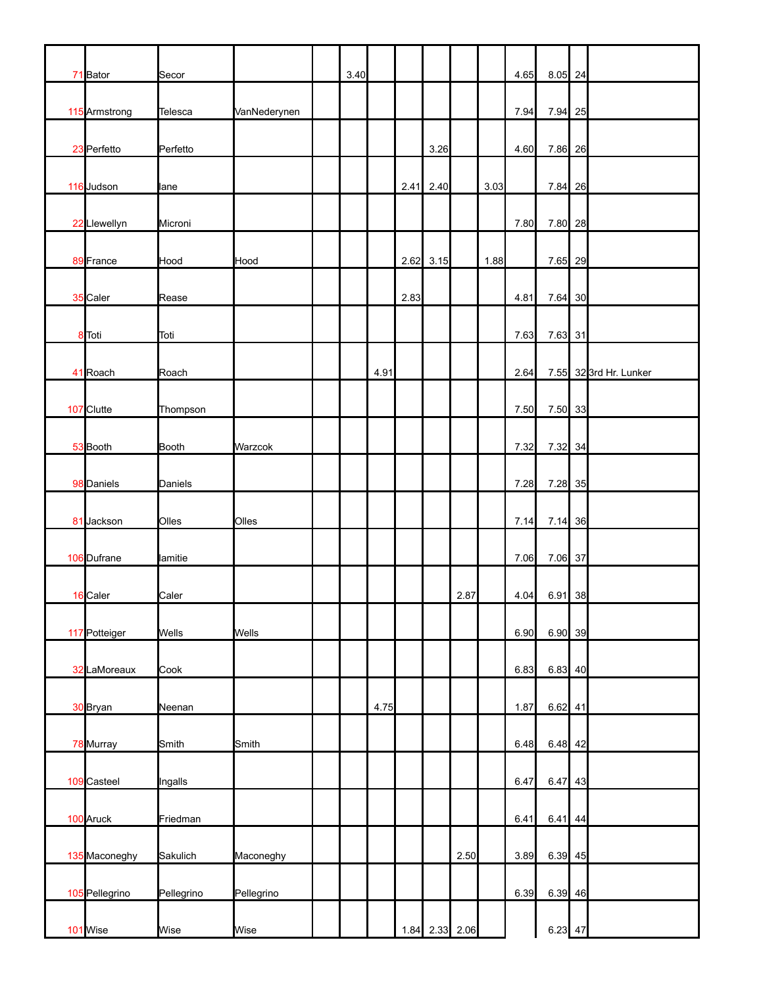| 71 Bator       | Secor        |              | 3.40 |      |      |                |      |      | 4.65 | $8.05$ 24 |    |                       |
|----------------|--------------|--------------|------|------|------|----------------|------|------|------|-----------|----|-----------------------|
| 115 Armstrong  | Telesca      | VanNederynen |      |      |      |                |      |      | 7.94 | 7.94      | 25 |                       |
| 23 Perfetto    | Perfetto     |              |      |      |      | 3.26           |      |      | 4.60 | 7.86 26   |    |                       |
| 116 Judson     | lane         |              |      |      | 2.41 | 2.40           |      | 3.03 |      | 7.84 26   |    |                       |
| 22 Llewellyn   | Microni      |              |      |      |      |                |      |      | 7.80 | 7.80 28   |    |                       |
| 89 France      | Hood         | Hood         |      |      |      | $2.62$ 3.15    |      | 1.88 |      | 7.65 29   |    |                       |
| 35 Caler       | Rease        |              |      |      | 2.83 |                |      |      | 4.81 | 7.64 30   |    |                       |
| 8 Toti         | Toti         |              |      |      |      |                |      |      | 7.63 | 7.63 31   |    |                       |
| 41 Roach       | Roach        |              |      | 4.91 |      |                |      |      | 2.64 |           |    | 7.55 323rd Hr. Lunker |
| 107 Clutte     | Thompson     |              |      |      |      |                |      |      | 7.50 | 7.50 33   |    |                       |
| 53 Booth       | Booth        | Warzcok      |      |      |      |                |      |      | 7.32 | 7.32 34   |    |                       |
| 98 Daniels     | Daniels      |              |      |      |      |                |      |      | 7.28 | 7.28 35   |    |                       |
| 81 Jackson     | Olles        | Olles        |      |      |      |                |      |      | 7.14 | 7.14 36   |    |                       |
| 106 Dufrane    | lamitie      |              |      |      |      |                |      |      | 7.06 | 7.06 37   |    |                       |
| 16 Caler       | Caler        |              |      |      |      |                | 2.87 |      | 4.04 | 6.91 38   |    |                       |
| 117 Potteiger  | <b>Wells</b> | Wells        |      |      |      |                |      |      | 6.90 | $6.90$ 39 |    |                       |
| 32 LaMoreaux   | Cook         |              |      |      |      |                |      |      | 6.83 | $6.83$ 40 |    |                       |
| 30 Bryan       | Neenan       |              |      | 4.75 |      |                |      |      | 1.87 | $6.62$ 41 |    |                       |
| 78 Murray      | Smith        | Smith        |      |      |      |                |      |      | 6.48 | $6.48$ 42 |    |                       |
| 109 Casteel    | Ingalls      |              |      |      |      |                |      |      | 6.47 | $6.47$ 43 |    |                       |
| 100 Aruck      | Friedman     |              |      |      |      |                |      |      | 6.41 | 6.41      | 44 |                       |
| 135 Maconeghy  | Sakulich     | Maconeghy    |      |      |      |                | 2.50 |      | 3.89 | $6.39$ 45 |    |                       |
| 105 Pellegrino | Pellegrino   | Pellegrino   |      |      |      |                |      |      | 6.39 | $6.39$ 46 |    |                       |
| 101 Wise       | Wise         | Wise         |      |      |      | 1.84 2.33 2.06 |      |      |      | $6.23$ 47 |    |                       |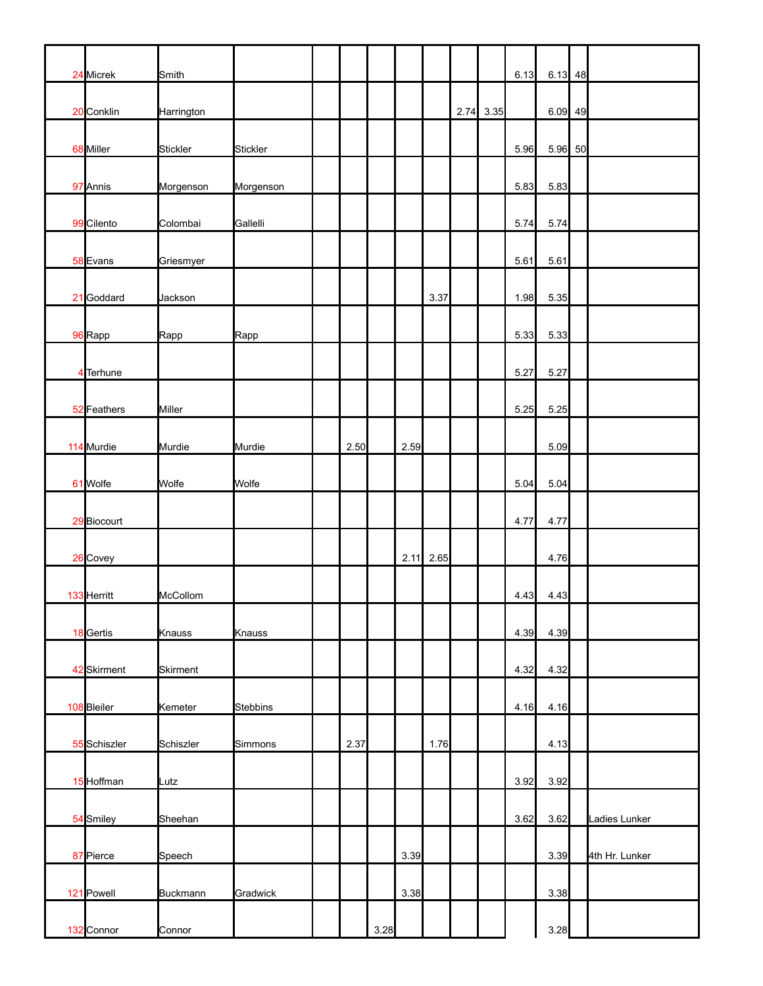| 24 Micrek    | Smith      |                 |      |      |      |             |           | 6.13 | $6.13$ 48 |                |
|--------------|------------|-----------------|------|------|------|-------------|-----------|------|-----------|----------------|
| 20 Conklin   | Harrington |                 |      |      |      |             | 2.74 3.35 |      | $6.09$ 49 |                |
| 68 Miller    | Stickler   | Stickler        |      |      |      |             |           | 5.96 | 5.96 50   |                |
| 97 Annis     | Morgenson  | Morgenson       |      |      |      |             |           | 5.83 | 5.83      |                |
| 99 Cilento   | Colombai   | Gallelli        |      |      |      |             |           | 5.74 | 5.74      |                |
| 58 Evans     | Griesmyer  |                 |      |      |      |             |           | 5.61 | 5.61      |                |
| 21 Goddard   | Jackson    |                 |      |      |      | 3.37        |           | 1.98 | 5.35      |                |
| 96 Rapp      | Rapp       | Rapp            |      |      |      |             |           | 5.33 | 5.33      |                |
| 4 Terhune    |            |                 |      |      |      |             |           | 5.27 | 5.27      |                |
| 52 Feathers  | Miller     |                 |      |      |      |             |           | 5.25 | 5.25      |                |
| 114 Murdie   | Murdie     | Murdie          | 2.50 |      | 2.59 |             |           |      | 5.09      |                |
| 61 Wolfe     | Wolfe      | Wolfe           |      |      |      |             |           | 5.04 | 5.04      |                |
| 29 Biocourt  |            |                 |      |      |      |             |           | 4.77 | 4.77      |                |
| 26 Covey     |            |                 |      |      |      | $2.11$ 2.65 |           |      | 4.76      |                |
| 133 Herritt  | McCollom   |                 |      |      |      |             |           | 4.43 | 4.43      |                |
| 18 Gertis    | Knauss     | Knauss          |      |      |      |             |           | 4.39 | 4.39      |                |
| 42 Skirment  | Skirment   |                 |      |      |      |             |           | 4.32 | 4.32      |                |
| 108 Bleiler  | Kemeter    | <b>Stebbins</b> |      |      |      |             |           | 4.16 | 4.16      |                |
| 55 Schiszler | Schiszler  | Simmons         | 2.37 |      |      | 1.76        |           |      | 4.13      |                |
| 15 Hoffman   | Lutz       |                 |      |      |      |             |           | 3.92 | 3.92      |                |
|              | Sheehan    |                 |      |      |      |             |           | 3.62 | 3.62      |                |
| 54 Smiley    |            |                 |      |      |      |             |           |      |           | Ladies Lunker  |
| 87 Pierce    | Speech     |                 |      |      | 3.39 |             |           |      | 3.39      | 4th Hr. Lunker |
| 121 Powell   | Buckmann   | Gradwick        |      |      | 3.38 |             |           |      | 3.38      |                |
| 132 Connor   | Connor     |                 |      | 3.28 |      |             |           |      | 3.28      |                |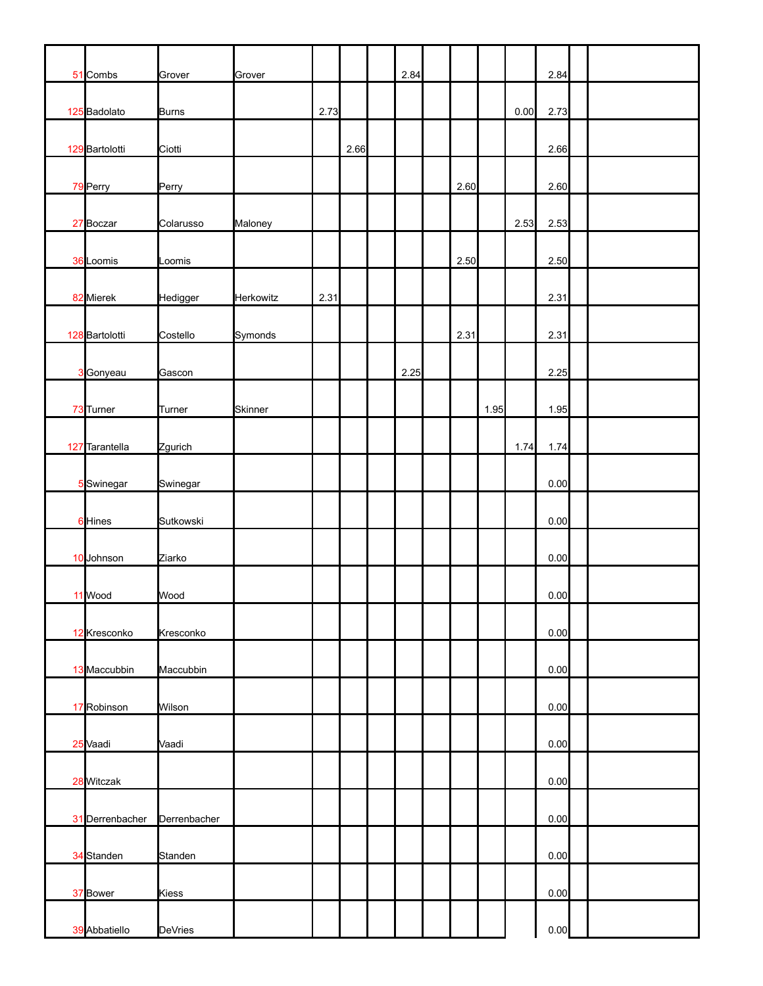| 51 Combs        | Grover       | Grover         |      |      | 2.84 |      |      |      | 2.84 |  |  |
|-----------------|--------------|----------------|------|------|------|------|------|------|------|--|--|
| 125 Badolato    | Burns        |                | 2.73 |      |      |      |      | 0.00 | 2.73 |  |  |
| 129 Bartolotti  | Ciotti       |                |      | 2.66 |      |      |      |      | 2.66 |  |  |
| 79 Perry        | Perry        |                |      |      |      | 2.60 |      |      | 2.60 |  |  |
| 27 Boczar       | Colarusso    | Maloney        |      |      |      |      |      | 2.53 | 2.53 |  |  |
| 36 Loomis       | Loomis       |                |      |      |      | 2.50 |      |      | 2.50 |  |  |
| 82 Mierek       | Hedigger     | Herkowitz      | 2.31 |      |      |      |      |      | 2.31 |  |  |
| 128 Bartolotti  | Costello     | Symonds        |      |      |      | 2.31 |      |      | 2.31 |  |  |
| 3 Gonyeau       | Gascon       |                |      |      | 2.25 |      |      |      | 2.25 |  |  |
| 73 Turner       | Turner       | <b>Skinner</b> |      |      |      |      | 1.95 |      | 1.95 |  |  |
| 127 Tarantella  | Zgurich      |                |      |      |      |      |      | 1.74 | 1.74 |  |  |
| 5 Swinegar      | Swinegar     |                |      |      |      |      |      |      | 0.00 |  |  |
| 6 Hines         | Sutkowski    |                |      |      |      |      |      |      | 0.00 |  |  |
| 10 Johnson      | Ziarko       |                |      |      |      |      |      |      | 0.00 |  |  |
| 11 Wood         | Wood         |                |      |      |      |      |      |      | 0.00 |  |  |
| 12 Kresconko    | Kresconko    |                |      |      |      |      |      |      | 0.00 |  |  |
| 13 Maccubbin    | Maccubbin    |                |      |      |      |      |      |      | 0.00 |  |  |
| 17 Robinson     | Wilson       |                |      |      |      |      |      |      | 0.00 |  |  |
| 25 Vaadi        | Vaadi        |                |      |      |      |      |      |      | 0.00 |  |  |
| 28 Witczak      |              |                |      |      |      |      |      |      | 0.00 |  |  |
| 31 Derrenbacher | Derrenbacher |                |      |      |      |      |      |      | 0.00 |  |  |
| 34 Standen      | Standen      |                |      |      |      |      |      |      | 0.00 |  |  |
| 37 Bower        | Kiess        |                |      |      |      |      |      |      | 0.00 |  |  |
| 39 Abbatiello   | DeVries      |                |      |      |      |      |      |      | 0.00 |  |  |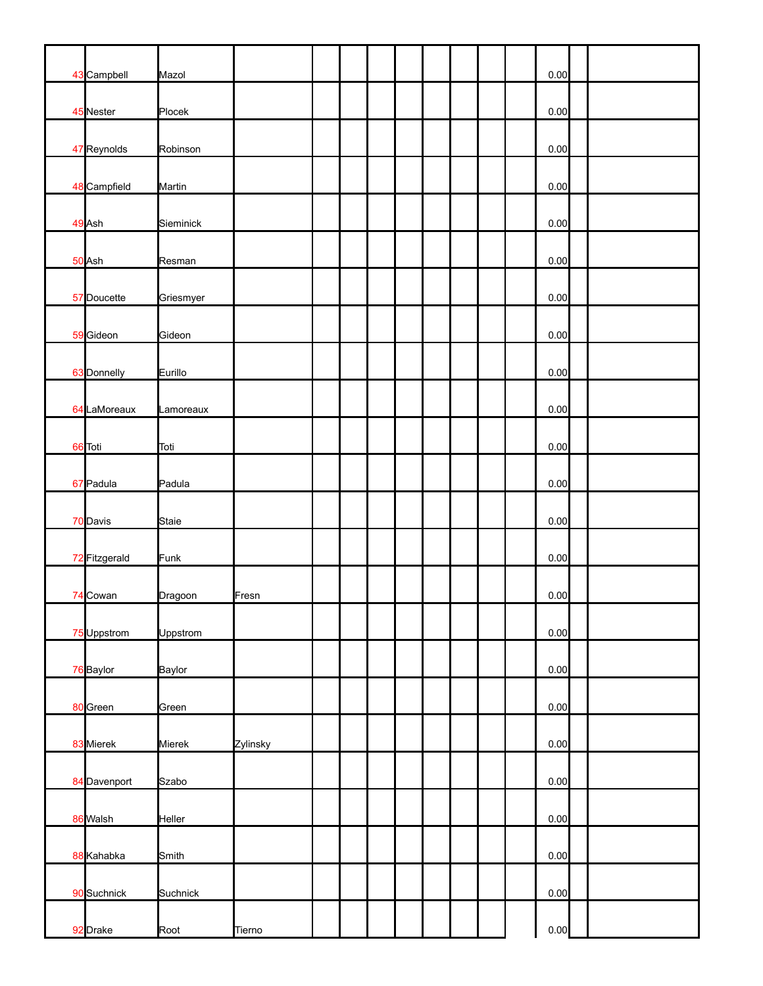| 43 Campbell   | Mazol     |          |  |  |  |  | 0.00 |  |
|---------------|-----------|----------|--|--|--|--|------|--|
| 45 Nester     | Plocek    |          |  |  |  |  | 0.00 |  |
| 47 Reynolds   | Robinson  |          |  |  |  |  | 0.00 |  |
| 48 Campfield  | Martin    |          |  |  |  |  | 0.00 |  |
| 49 Ash        | Sieminick |          |  |  |  |  | 0.00 |  |
| 50 Ash        | Resman    |          |  |  |  |  | 0.00 |  |
| 57 Doucette   | Griesmyer |          |  |  |  |  | 0.00 |  |
| 59 Gideon     | Gideon    |          |  |  |  |  | 0.00 |  |
| 63 Donnelly   | Eurillo   |          |  |  |  |  | 0.00 |  |
| 64 LaMoreaux  | Lamoreaux |          |  |  |  |  | 0.00 |  |
| 66 Toti       | Toti      |          |  |  |  |  | 0.00 |  |
| 67 Padula     | Padula    |          |  |  |  |  | 0.00 |  |
| 70 Davis      | Staie     |          |  |  |  |  | 0.00 |  |
| 72 Fitzgerald | Funk      |          |  |  |  |  | 0.00 |  |
| 74 Cowan      | Dragoon   | Fresn    |  |  |  |  | 0.00 |  |
| 75 Uppstrom   | Uppstrom  |          |  |  |  |  | 0.00 |  |
| 76 Baylor     | Baylor    |          |  |  |  |  | 0.00 |  |
| 80 Green      | Green     |          |  |  |  |  | 0.00 |  |
| 83 Mierek     | Mierek    | Zylinsky |  |  |  |  | 0.00 |  |
| 84 Davenport  | Szabo     |          |  |  |  |  | 0.00 |  |
| 86 Walsh      | Heller    |          |  |  |  |  | 0.00 |  |
| 88 Kahabka    | Smith     |          |  |  |  |  | 0.00 |  |
| 90 Suchnick   | Suchnick  |          |  |  |  |  | 0.00 |  |
| 92 Drake      | Root      | Tierno   |  |  |  |  | 0.00 |  |